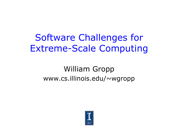#### Software Challenges for Extreme-Scale Computing

#### William Gropp www.cs.illinois.edu/~wgropp

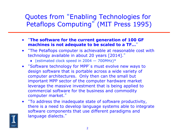Quotes from "Enabling Technologies for Petaflops Computing" (MIT Press 1995)

- "**The software for the current generation of 100 GF machines is not adequate to be scaled to a TF…**"
- "The Petaflops computer is achievable at reasonable cost with technology available in about 20 years [2014]."
	- $\bullet$  (estimated clock speed in 2004 700MHz)\*
- "Software technology for MPP's must evolve new ways to design software that is portable across a wide variety of computer architectures. Only then can the small but important MPP sector of the computer hardware market leverage the massive investment that is being applied to commercial software for the business and commodity computer market."
- "To address the inadequate state of software productivity, there is a need to develop language systems able to integrate software components that use different paradigms and language dialects."

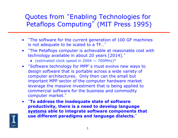#### Quotes from "Enabling Technologies for Petaflops Computing" (MIT Press 1995)

- "The software for the current generation of 100 GF machines is not adequate to be scaled to a TF…"
- "The Petaflops computer is achievable at reasonable cost with technology available in about 20 years [2014]."
	- $\bullet$  (estimated clock speed in 2004 700MHz)\*
- "Software technology for MPP's must evolve new ways to design software that is portable across a wide variety of computer architectures. Only then can the small but important MPP sector of the computer hardware market leverage the massive investment that is being applied to commercial software for the business and commodity computer market."
- "**To address the inadequate state of software productivity, there is a need to develop language systems able to integrate software components that use different paradigms and language dialects.**"

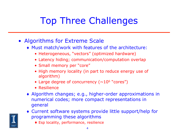# Top Three Challenges

- Algorithms for Extreme Scale
	- ♦ Must match/work with features of the architecture:
		- Heterogeneous, "vectors" (optimized hardware)
		- Latency hiding; communication/computation overlap
		- Small memory per "core"
		- High memory locality (in part to reduce energy use of algorithm)
		- Large degree of concurrency  $(\sim 10^6$  "cores")
		- Resilience
	- ♦ Algorithm changes; e.g., higher-order approximations in numerical codes; more compact representations in general
	- ♦ Current software systems provide little support/help for programming these algorithms
		- ♦ Esp locality, performance, resilience

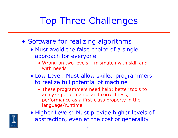## Top Three Challenges

- Software for realizing algorithms
	- ♦ Must avoid the false choice of a single approach for everyone
		- Wrong on two levels mismatch with skill and with needs
	- ♦ Low Level: Must allow skilled programmers to realize full potential of machine
		- These programmers need help; better tools to analyze performance and correctness; performance as a first-class property in the language/runtime



♦ Higher Levels: Must provide higher levels of abstraction, even at the cost of generality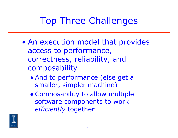## Top Three Challenges

- An execution model that provides access to performance, correctness, reliability, and composability
	- ♦ And to performance (else get a smaller, simpler machine)
	- ♦ Composability to allow multiple software components to work *efficiently* together

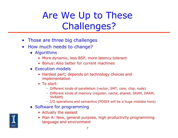# Are We Up to These Challenges?

- Those are three big challenges
- How much needs to change?
	- ♦ Algorithms
		- More dynamic, less BSP, more latency tolerant
		- Bonus: Also better for current machines
	- ♦ Execution models
		- Hardest part; depends on technology choices and implementation
		- To start:
			- Different kinds of parallelism (vector, SMT, core, chip, node)
			- Different kinds of memory (register, cache, shared, SRAM, DRAM, NVRAM)
			- I/O operations and semantics (POSIX will be a huge mistake here)
	- ♦ Software for programming
		- Actually the easiest
		- Plan A: New, general purpose, high productivity programming language and environment

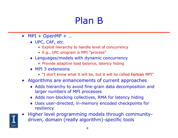## Plan B

- $MPI + OpenMP + ...$ 
	- ♦ UPC, CAF, etc.
		- Exploit hierarchy to handle level of concurrency
		- E.g., UPC program is MPI "process"
	- ♦ Languages/models with dynamic concurrency
		- Provide adaptive load balance, latency hiding
	- ♦ MPI 3 extensions
		- "I don't know what it will be, but it will be called Fortran MPI"
- Algorithms are enhancements of current approaches
	- ♦ Adds hierarchy to avoid fine-grain data decomposition and larger numbers of MPI processes
	- ♦ Adds non-blocking collectives, RMA for latency hiding
	- ♦ Uses user-directed, in-memory encoded checkpoints for resiliency



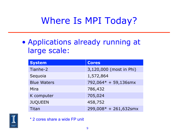## Where Is MPI Today?

• Applications already running at large scale:

| <b>System</b>      | <b>Cores</b>            |
|--------------------|-------------------------|
| Tianhe-2           | 3,120,000 (most in Phi) |
| Sequoia            | 1,572,864               |
| <b>Blue Waters</b> | 792,064* + 59,136smx    |
| Mira               | 786,432                 |
| K computer         | 705,024                 |
| <b>JUQUEEN</b>     | 458,752                 |
| Titan              | 299,008* + 261,632smx   |



\* 2 cores share a wide FP unit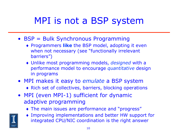## MPI is not a BSP system

- BSP = Bulk Synchronous Programming
	- ♦ Programmers **like** the BSP model, adopting it even when not necessary (see "functionally irrelevant barriers")
	- ♦ Unlike most programming models, *designed* with a performance model to encourage *quantitative* design in programs
- MPI makes it easy to *emulate* a BSP system
	- ♦ Rich set of collectives, barriers, blocking operations
- MPI (even MPI-1) sufficient for dynamic adaptive programming
	- ♦ The main issues are performance and "progress"
	- Improving implementations and better HW support for integrated CPU/NIC coordination is the right answer

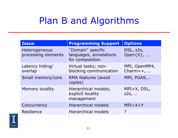## Plan B and Algorithms

| <b>Issue</b>                         | <b>Programming Support</b>                                     | <b>Options</b>                |
|--------------------------------------|----------------------------------------------------------------|-------------------------------|
| Heterogeneous<br>processing elements | "Domain" specific<br>languages, annotations<br>for composition | DSL, s2s,<br>Open $\{X\}$ ,   |
| Latency hiding/<br>overlap           | Virtual tasks; non-<br>blocking communication                  | MPI, OpenMP4,<br>Charm $++$ , |
| Small memory/core                    | RMA features (avoid<br>copies)                                 | MPI, PGAS,                    |
| <b>Memory locality</b>               | Hierarchical models;<br>explicit locality<br>management        | $MPI+X, DSL,$<br>$s2s$ ,      |
| Concurrency                          | <b>Hierarchical models</b>                                     | $MPI+X+Y$                     |
| Resilience                           | <b>Hierarchical models</b>                                     | ?                             |